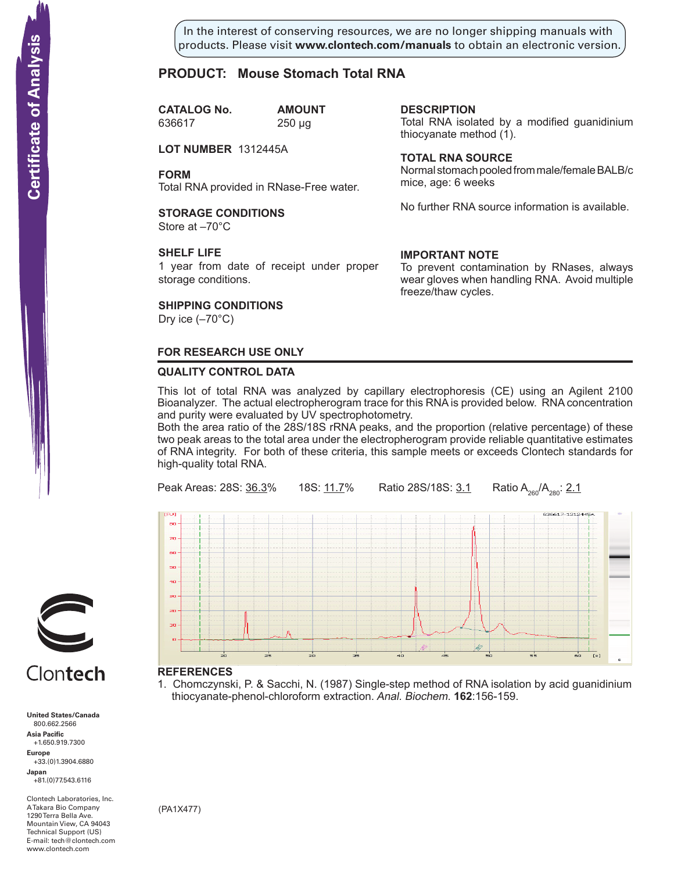In the interest of conserving resources, we are no longer shipping manuals with products. Please visit **www.clontech.com/manuals** to obtain an electronic version.

# **PRODUCT: Mouse Stomach Total RNA**

**CATALOG No. AMOUNT** 636617 250 µg

**LOT NUMBER** 1312445A

**FORM**

Total RNA provided in RNase-Free water.

# **STORAGE CONDITIONS**

Store at –70°C

#### **SHELF LIFE**

1 year from date of receipt under proper storage conditions.

## **SHIPPING CONDITIONS**

Dry ice  $(-70^{\circ}C)$ 

## **FOR RESEARCH USE ONLY**

#### **QUALITY CONTROL DATA**

This lot of total RNA was analyzed by capillary electrophoresis (CE) using an Agilent 2100 Bioanalyzer. The actual electropherogram trace for this RNA is provided below. RNA concentration and purity were evaluated by UV spectrophotometry.

Both the area ratio of the 28S/18S rRNA peaks, and the proportion (relative percentage) of these two peak areas to the total area under the electropherogram provide reliable quantitative estimates of RNA integrity. For both of these criteria, this sample meets or exceeds Clontech standards for high-quality total RNA.

Peak Areas: 28S: 36.3% 18S: 11.7% Ratio 28S/18S: 3.1 Ratio A<sub>260</sub>/A<sub>280</sub>: 2.1 636617-1312445 æ вó so 40

1. Chomczynski, P. & Sacchi, N. (1987) Single-step method of RNA isolation by acid guanidinium

 $\overline{40}$ 

thiocyanate-phenol-chloroform extraction. Anal. Biochem. **162**:156-159.

÷

긂



# Clontech

**United States/Canada** 800.662.2566 **Asia Pacific** +1.650.919.7300 **Europe** +33.(0)1.3904.6880 **Japan** +81.(0)77.543.6116 **Solution Control Control Control Control Control Control Control Control Control Control Control Control Control Control Control Control Control Control Control Control Control Control Control Control Control Control Cont** 

Clontech Laboratories, Inc. A Takara Bio Company 1290 Terra Bella Ave. Mountain View, CA 94043 Technical Support (US) E-mail: tech@clontech.com<br>www.clontech.com

(PA1X477)

**References**

굶

∍

**description**

Total RNA isolated by a modified guanidinium thiocyanate method  $(1)$ .

# **Total RNA source**

Normal stomach pooled from male/female BALB/c mice, age: 6 weeks

No further RNA source information is available.

# **IMPORTANT NOTE**

To prevent contamination by RNases, always wear gloves when handling RNA. Avoid multiple freeze/thaw cycles.

> $50$  $[9]$